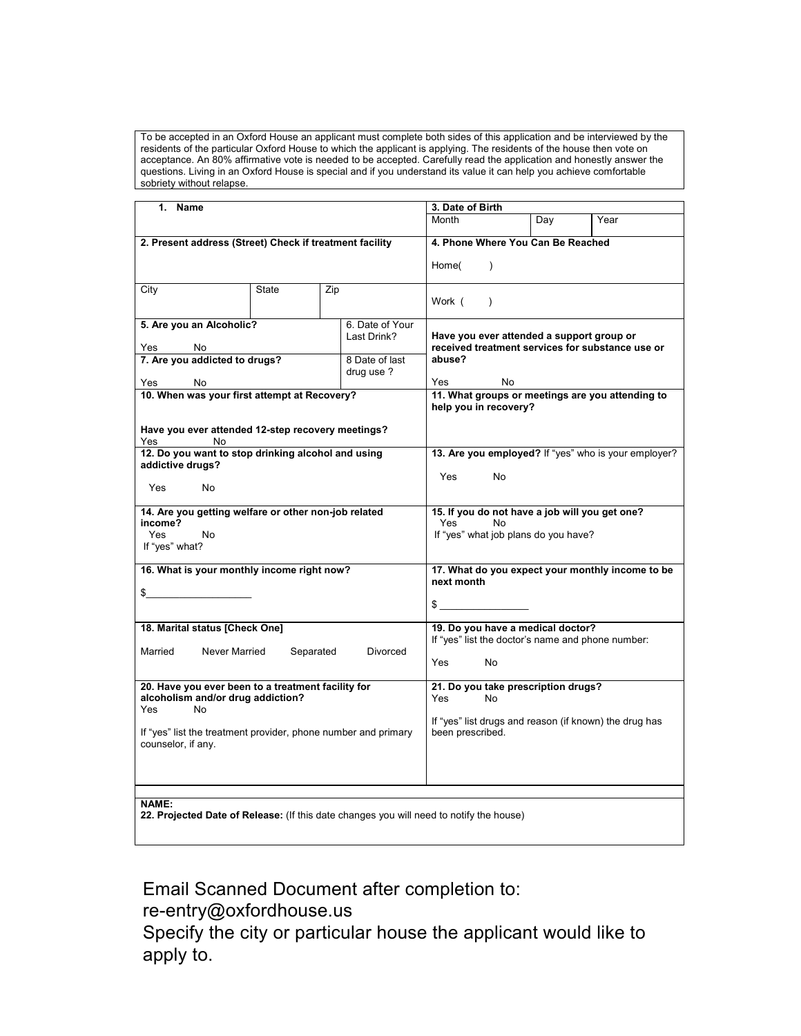To be accepted in an Oxford House an applicant must complete both sides of this application and be interviewed by the residents of the particular Oxford House to which the applicant is applying. The residents of the house then vote on acceptance. An 80% affirmative vote is needed to be accepted. Carefully read the application and honestly answer the questions. Living in an Oxford House is special and if you understand its value it can help you achieve comfortable sobriety without relapse.

| 1. Name                                                                                                 |              |     | 3. Date of Birth                                                                              |                                                                                        |                                                        |                                                      |  |  |  |  |  |
|---------------------------------------------------------------------------------------------------------|--------------|-----|-----------------------------------------------------------------------------------------------|----------------------------------------------------------------------------------------|--------------------------------------------------------|------------------------------------------------------|--|--|--|--|--|
|                                                                                                         |              |     | Month                                                                                         | Day                                                                                    | Year                                                   |                                                      |  |  |  |  |  |
| 2. Present address (Street) Check if treatment facility                                                 |              |     | 4. Phone Where You Can Be Reached                                                             |                                                                                        |                                                        |                                                      |  |  |  |  |  |
|                                                                                                         |              |     | Home(<br>$\lambda$                                                                            |                                                                                        |                                                        |                                                      |  |  |  |  |  |
| City                                                                                                    | <b>State</b> | Zip |                                                                                               | Work (<br>$\lambda$                                                                    |                                                        |                                                      |  |  |  |  |  |
| 5. Are you an Alcoholic?<br>6. Date of Your<br>Last Drink?                                              |              |     | Have you ever attended a support group or<br>received treatment services for substance use or |                                                                                        |                                                        |                                                      |  |  |  |  |  |
| Yes<br>No<br>7. Are you addicted to drugs?<br>8 Date of last<br>drug use ?<br>No<br>Yes                 |              |     |                                                                                               | abuse?<br>Yes<br>No.                                                                   |                                                        |                                                      |  |  |  |  |  |
| 10. When was your first attempt at Recovery?                                                            |              |     |                                                                                               | 11. What groups or meetings are you attending to<br>help you in recovery?              |                                                        |                                                      |  |  |  |  |  |
| Have you ever attended 12-step recovery meetings?<br>Yes<br>No                                          |              |     |                                                                                               |                                                                                        |                                                        |                                                      |  |  |  |  |  |
| 12. Do you want to stop drinking alcohol and using<br>addictive drugs?                                  |              |     |                                                                                               |                                                                                        |                                                        | 13. Are you employed? If "yes" who is your employer? |  |  |  |  |  |
| Yes<br>No                                                                                               |              |     |                                                                                               | Yes.<br>No                                                                             |                                                        |                                                      |  |  |  |  |  |
| 14. Are you getting welfare or other non-job related                                                    |              |     | 15. If you do not have a job will you get one?<br>Yes<br>No                                   |                                                                                        |                                                        |                                                      |  |  |  |  |  |
| income?<br>Yes<br>No<br>If "yes" what?                                                                  |              |     |                                                                                               | If "yes" what job plans do you have?                                                   |                                                        |                                                      |  |  |  |  |  |
| 16. What is your monthly income right now?                                                              |              |     | 17. What do you expect your monthly income to be<br>next month                                |                                                                                        |                                                        |                                                      |  |  |  |  |  |
| \$                                                                                                      |              |     |                                                                                               |                                                                                        |                                                        |                                                      |  |  |  |  |  |
| 18. Marital status [Check One]                                                                          |              |     |                                                                                               | 19. Do you have a medical doctor?<br>If "yes" list the doctor's name and phone number: |                                                        |                                                      |  |  |  |  |  |
| Married<br>Never Married<br>Separated<br>Divorced                                                       |              |     |                                                                                               | <b>Yes</b><br>No                                                                       |                                                        |                                                      |  |  |  |  |  |
| 20. Have you ever been to a treatment facility for<br>alcoholism and/or drug addiction?<br>Yes<br>No.   |              |     |                                                                                               | 21. Do you take prescription drugs?<br>Yes<br><b>No</b>                                |                                                        |                                                      |  |  |  |  |  |
| If "yes" list the treatment provider, phone number and primary<br>counselor, if any.                    |              |     | been prescribed.                                                                              |                                                                                        | If "yes" list drugs and reason (if known) the drug has |                                                      |  |  |  |  |  |
|                                                                                                         |              |     |                                                                                               |                                                                                        |                                                        |                                                      |  |  |  |  |  |
| <b>NAME:</b><br>22. Projected Date of Release: (If this date changes you will need to notify the house) |              |     |                                                                                               |                                                                                        |                                                        |                                                      |  |  |  |  |  |

Email Scanned Document after completion to:

re-entry@oxfordhouse.us

Specify the city or particular house the applicant would like to apply to.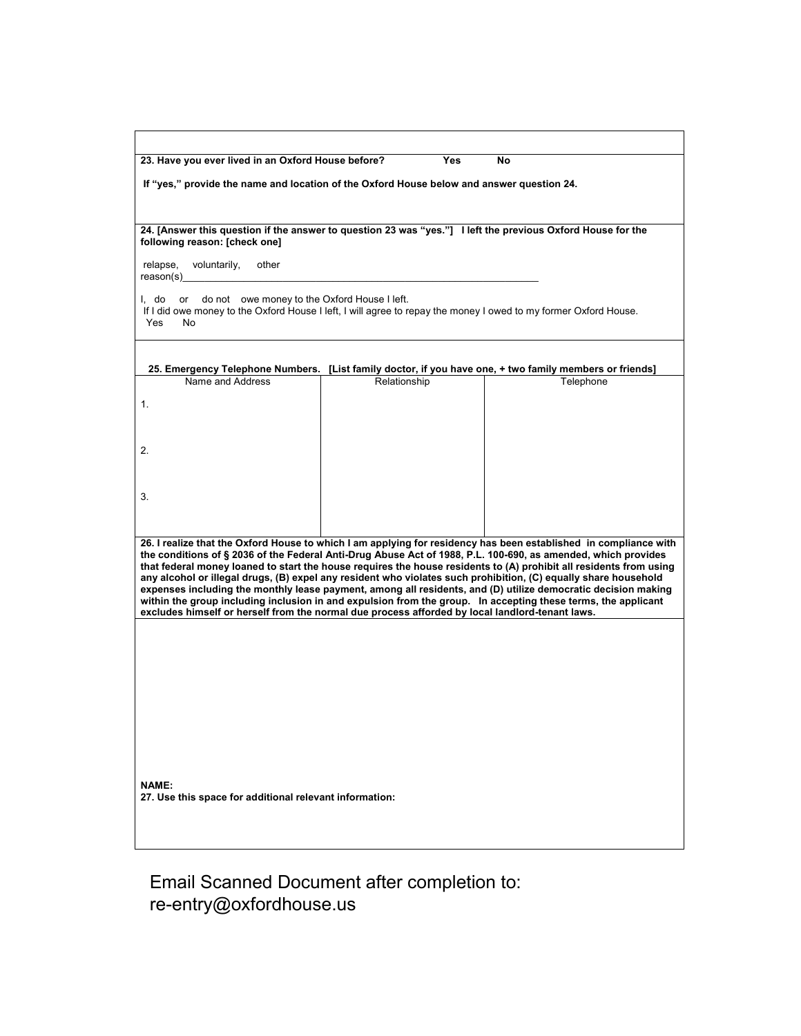| 23. Have you ever lived in an Oxford House before? | Yes | No. |
|----------------------------------------------------|-----|-----|
|                                                    |     |     |

**If "yes," provide the name and location of the Oxford House below and answer question 24.**

**24. [Answer this question if the answer to question 23 was "yes."] I left the previous Oxford House for the following reason: [check one]**

relapse, voluntarily, other reason(s)

I, do or do not owe money to the Oxford House I left. If I did owe money to the Oxford House I left, I will agree to repay the money I owed to my former Oxford House.<br>Yes No Yes

## **25. Emergency Telephone Numbers. [List family doctor, if you have one, + two family members or friends]**

| Name and Address                                                                                                | Relationship | Telephone                                                                                                          |
|-----------------------------------------------------------------------------------------------------------------|--------------|--------------------------------------------------------------------------------------------------------------------|
|                                                                                                                 |              |                                                                                                                    |
| $\overline{2}$                                                                                                  |              |                                                                                                                    |
| 3.                                                                                                              |              |                                                                                                                    |
|                                                                                                                 |              |                                                                                                                    |
|                                                                                                                 |              | 26. I realize that the Oxford House to which I am applying for residency has been established in compliance with   |
|                                                                                                                 |              | the conditions of § 2036 of the Federal Anti-Drug Abuse Act of 1988, P.L. 100-690, as amended, which provides      |
| any alcohol or illegal drugs, (B) expel any resident who violates such prohibition, (C) equally share household |              | that federal money loaned to start the house requires the house residents to (A) prohibit all residents from using |
|                                                                                                                 |              | expenses including the monthly lease payment, among all residents, and (D) utilize democratic decision making      |
| within the group including inclusion in and expulsion from the group. In accepting these terms, the applicant   |              |                                                                                                                    |

**excludes himself or herself from the normal due process afforded by local landlord-tenant laws.**

**NAME: 27. Use this space for additional relevant information:**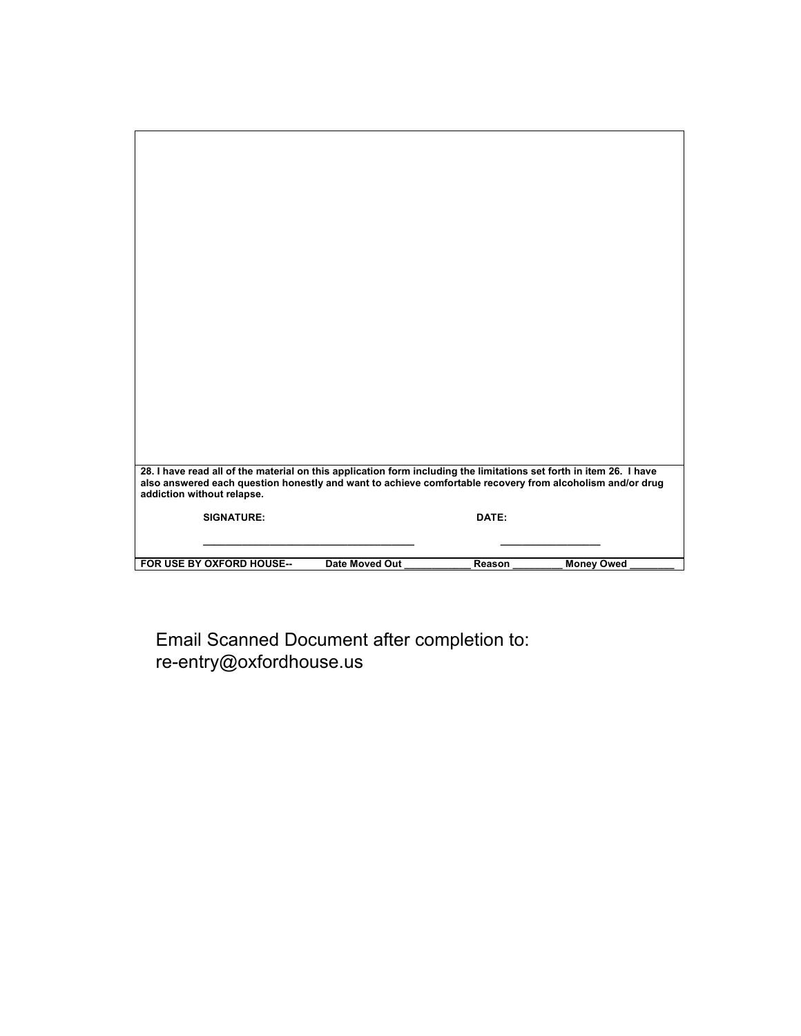| 28. I have read all of the material on this application form including the limitations set forth in item 26. I have<br>also answered each question honestly and want to achieve comfortable recovery from alcoholism and/or drug<br>addiction without relapse. |                       |        |                   |
|----------------------------------------------------------------------------------------------------------------------------------------------------------------------------------------------------------------------------------------------------------------|-----------------------|--------|-------------------|
| <b>SIGNATURE:</b>                                                                                                                                                                                                                                              |                       | DATE:  |                   |
|                                                                                                                                                                                                                                                                |                       |        |                   |
| FOR USE BY OXFORD HOUSE--                                                                                                                                                                                                                                      | <b>Date Moved Out</b> | Reason | <b>Money Owed</b> |

ן

Email Scanned Document after completion to: re-entry@oxfordhouse.us

 $\overline{\phantom{a}}$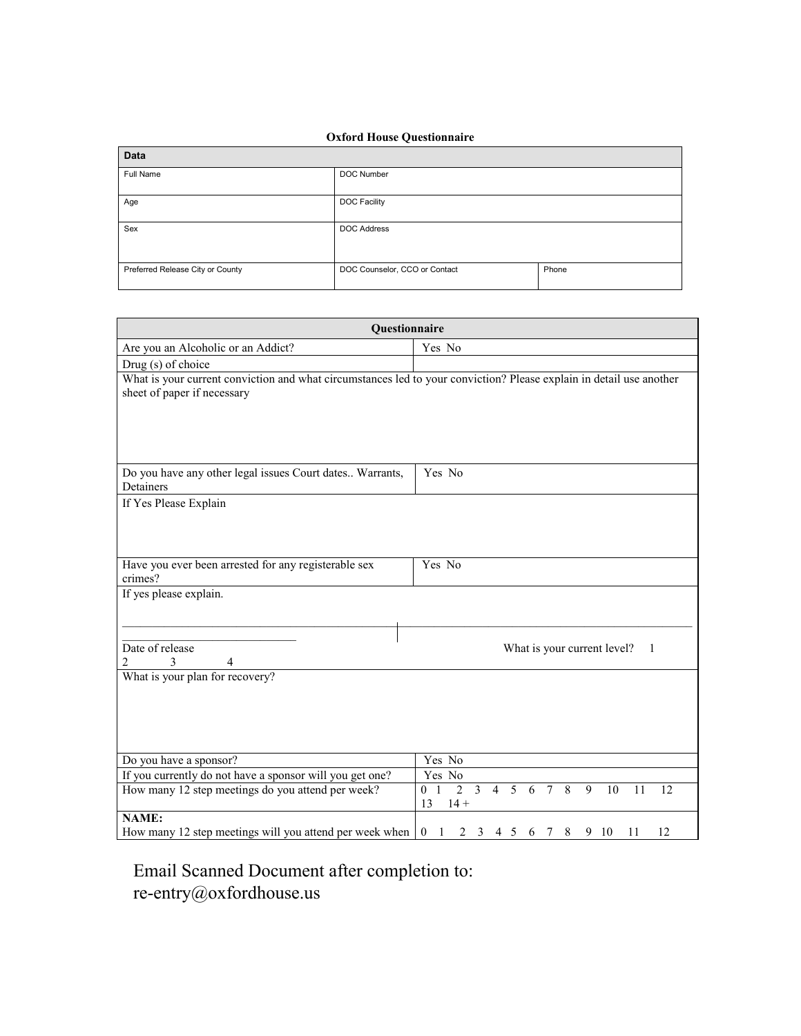## **Oxford House Questionnaire**

п

| Data                             |                                        |  |  |  |
|----------------------------------|----------------------------------------|--|--|--|
| Full Name                        | DOC Number                             |  |  |  |
| Age                              | DOC Facility                           |  |  |  |
| Sex                              | <b>DOC Address</b>                     |  |  |  |
| Preferred Release City or County | DOC Counselor, CCO or Contact<br>Phone |  |  |  |

| Questionnaire                                                                                                                                      |                                                                                                                             |  |  |  |  |
|----------------------------------------------------------------------------------------------------------------------------------------------------|-----------------------------------------------------------------------------------------------------------------------------|--|--|--|--|
| Are you an Alcoholic or an Addict?                                                                                                                 | Yes No                                                                                                                      |  |  |  |  |
| Drug (s) of choice                                                                                                                                 |                                                                                                                             |  |  |  |  |
| What is your current conviction and what circumstances led to your conviction? Please explain in detail use another<br>sheet of paper if necessary |                                                                                                                             |  |  |  |  |
| Do you have any other legal issues Court dates Warrants,<br>Detainers                                                                              | Yes No                                                                                                                      |  |  |  |  |
| If Yes Please Explain                                                                                                                              |                                                                                                                             |  |  |  |  |
| Have you ever been arrested for any registerable sex<br>crimes?                                                                                    | Yes No                                                                                                                      |  |  |  |  |
| If yes please explain.<br>Date of release<br>3<br>$\overline{4}$                                                                                   | What is your current level?<br>$\mathbf{1}$                                                                                 |  |  |  |  |
| What is your plan for recovery?                                                                                                                    |                                                                                                                             |  |  |  |  |
| Do you have a sponsor?                                                                                                                             | Yes No                                                                                                                      |  |  |  |  |
| If you currently do not have a sponsor will you get one?                                                                                           | Yes No                                                                                                                      |  |  |  |  |
| How many 12 step meetings do you attend per week?                                                                                                  | $4\quad 5\quad 6$<br>7 8<br>$0\quad\overline{1}$<br>$\overline{2}$<br>$\overline{3}$<br>9<br>10<br>12<br>11<br>13<br>$14 +$ |  |  |  |  |
| NAME:                                                                                                                                              |                                                                                                                             |  |  |  |  |
| How many 12 step meetings will you attend per week when                                                                                            | 2 3 4 5 6 7 8 9 10<br>12<br>$\boldsymbol{0}$<br>11<br>1                                                                     |  |  |  |  |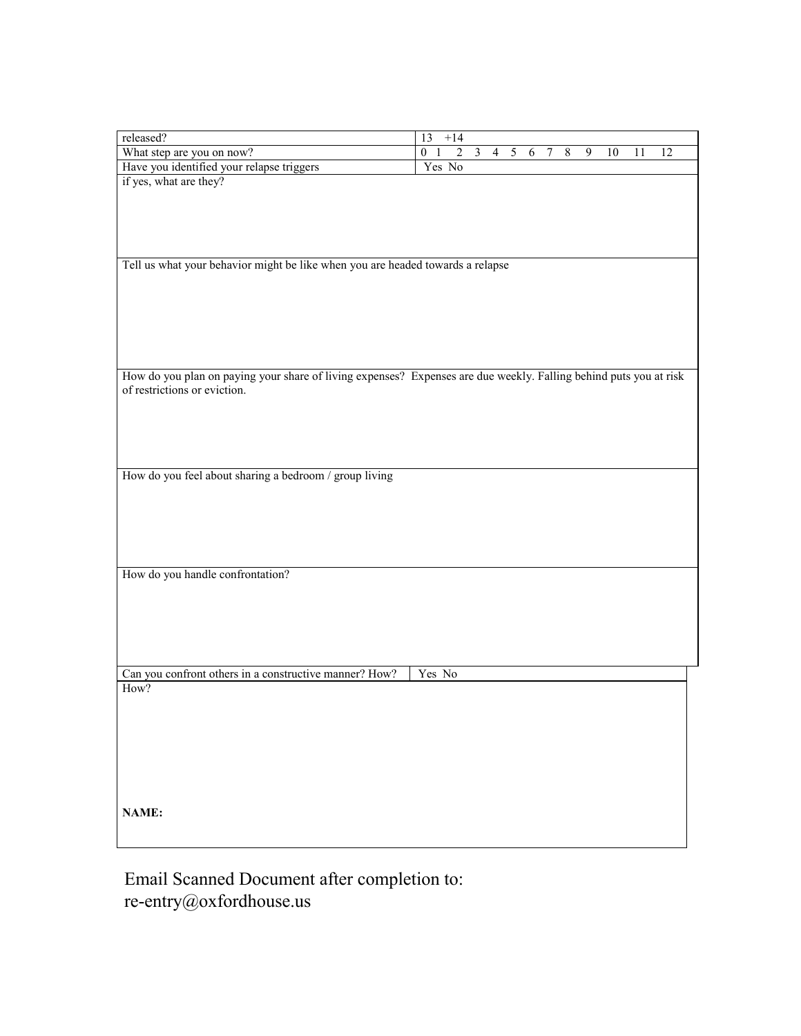| released?<br>What step are you on now?                                                                            | 13<br>$+14$<br>$\overline{0}$<br>2 | $\overline{3}$ | $\overline{4}$ | $\sqrt{5}$ | 7 | $\,8\,$ | 9 | $10\,$ | 11 | 12 |
|-------------------------------------------------------------------------------------------------------------------|------------------------------------|----------------|----------------|------------|---|---------|---|--------|----|----|
| Have you identified your relapse triggers                                                                         | Yes No                             |                |                | 6          |   |         |   |        |    |    |
| if yes, what are they?                                                                                            |                                    |                |                |            |   |         |   |        |    |    |
|                                                                                                                   |                                    |                |                |            |   |         |   |        |    |    |
|                                                                                                                   |                                    |                |                |            |   |         |   |        |    |    |
|                                                                                                                   |                                    |                |                |            |   |         |   |        |    |    |
|                                                                                                                   |                                    |                |                |            |   |         |   |        |    |    |
| Tell us what your behavior might be like when you are headed towards a relapse                                    |                                    |                |                |            |   |         |   |        |    |    |
|                                                                                                                   |                                    |                |                |            |   |         |   |        |    |    |
|                                                                                                                   |                                    |                |                |            |   |         |   |        |    |    |
|                                                                                                                   |                                    |                |                |            |   |         |   |        |    |    |
|                                                                                                                   |                                    |                |                |            |   |         |   |        |    |    |
|                                                                                                                   |                                    |                |                |            |   |         |   |        |    |    |
|                                                                                                                   |                                    |                |                |            |   |         |   |        |    |    |
| How do you plan on paying your share of living expenses? Expenses are due weekly. Falling behind puts you at risk |                                    |                |                |            |   |         |   |        |    |    |
| of restrictions or eviction.                                                                                      |                                    |                |                |            |   |         |   |        |    |    |
|                                                                                                                   |                                    |                |                |            |   |         |   |        |    |    |
|                                                                                                                   |                                    |                |                |            |   |         |   |        |    |    |
|                                                                                                                   |                                    |                |                |            |   |         |   |        |    |    |
|                                                                                                                   |                                    |                |                |            |   |         |   |        |    |    |
| How do you feel about sharing a bedroom / group living                                                            |                                    |                |                |            |   |         |   |        |    |    |
|                                                                                                                   |                                    |                |                |            |   |         |   |        |    |    |
|                                                                                                                   |                                    |                |                |            |   |         |   |        |    |    |
|                                                                                                                   |                                    |                |                |            |   |         |   |        |    |    |
|                                                                                                                   |                                    |                |                |            |   |         |   |        |    |    |
|                                                                                                                   |                                    |                |                |            |   |         |   |        |    |    |
| How do you handle confrontation?                                                                                  |                                    |                |                |            |   |         |   |        |    |    |
|                                                                                                                   |                                    |                |                |            |   |         |   |        |    |    |
|                                                                                                                   |                                    |                |                |            |   |         |   |        |    |    |
|                                                                                                                   |                                    |                |                |            |   |         |   |        |    |    |
|                                                                                                                   |                                    |                |                |            |   |         |   |        |    |    |
|                                                                                                                   |                                    |                |                |            |   |         |   |        |    |    |
| Can you confront others in a constructive manner? How?                                                            | Yes No                             |                |                |            |   |         |   |        |    |    |
| How?                                                                                                              |                                    |                |                |            |   |         |   |        |    |    |
|                                                                                                                   |                                    |                |                |            |   |         |   |        |    |    |
|                                                                                                                   |                                    |                |                |            |   |         |   |        |    |    |
|                                                                                                                   |                                    |                |                |            |   |         |   |        |    |    |
|                                                                                                                   |                                    |                |                |            |   |         |   |        |    |    |
|                                                                                                                   |                                    |                |                |            |   |         |   |        |    |    |
|                                                                                                                   |                                    |                |                |            |   |         |   |        |    |    |
|                                                                                                                   |                                    |                |                |            |   |         |   |        |    |    |
| NAME:                                                                                                             |                                    |                |                |            |   |         |   |        |    |    |
|                                                                                                                   |                                    |                |                |            |   |         |   |        |    |    |